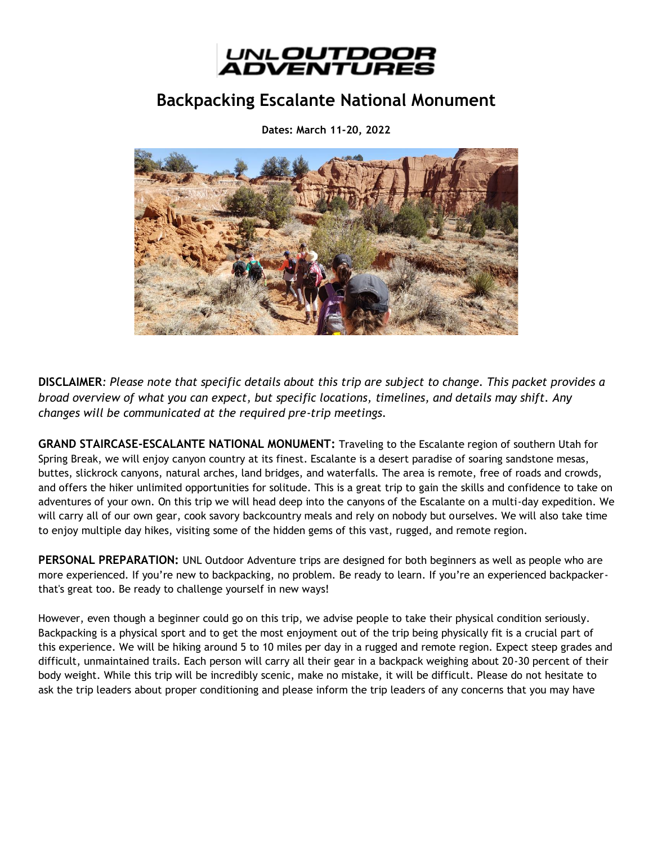

# **Backpacking Escalante National Monument**

**Dates: March 11-20, 2022**



**DISCLAIMER***: Please note that specific details about this trip are subject to change. This packet provides a broad overview of what you can expect, but specific locations, timelines, and details may shift. Any changes will be communicated at the required pre-trip meetings.*

**GRAND STAIRCASE-ESCALANTE NATIONAL MONUMENT:** Traveling to the Escalante region of southern Utah for Spring Break, we will enjoy canyon country at its finest. Escalante is a desert paradise of soaring sandstone mesas, buttes, slickrock canyons, natural arches, land bridges, and waterfalls. The area is remote, free of roads and crowds, and offers the hiker unlimited opportunities for solitude. This is a great trip to gain the skills and confidence to take on adventures of your own. On this trip we will head deep into the canyons of the Escalante on a multi-day expedition. We will carry all of our own gear, cook savory backcountry meals and rely on nobody but ourselves. We will also take time to enjoy multiple day hikes, visiting some of the hidden gems of this vast, rugged, and remote region.

**PERSONAL PREPARATION:** UNL Outdoor Adventure trips are designed for both beginners as well as people who are more experienced. If you're new to backpacking, no problem. Be ready to learn. If you're an experienced backpackerthat's great too. Be ready to challenge yourself in new ways!

However, even though a beginner could go on this trip, we advise people to take their physical condition seriously. Backpacking is a physical sport and to get the most enjoyment out of the trip being physically fit is a crucial part of this experience. We will be hiking around 5 to 10 miles per day in a rugged and remote region. Expect steep grades and difficult, unmaintained trails. Each person will carry all their gear in a backpack weighing about 20-30 percent of their body weight. While this trip will be incredibly scenic, make no mistake, it will be difficult. Please do not hesitate to ask the trip leaders about proper conditioning and please inform the trip leaders of any concerns that you may have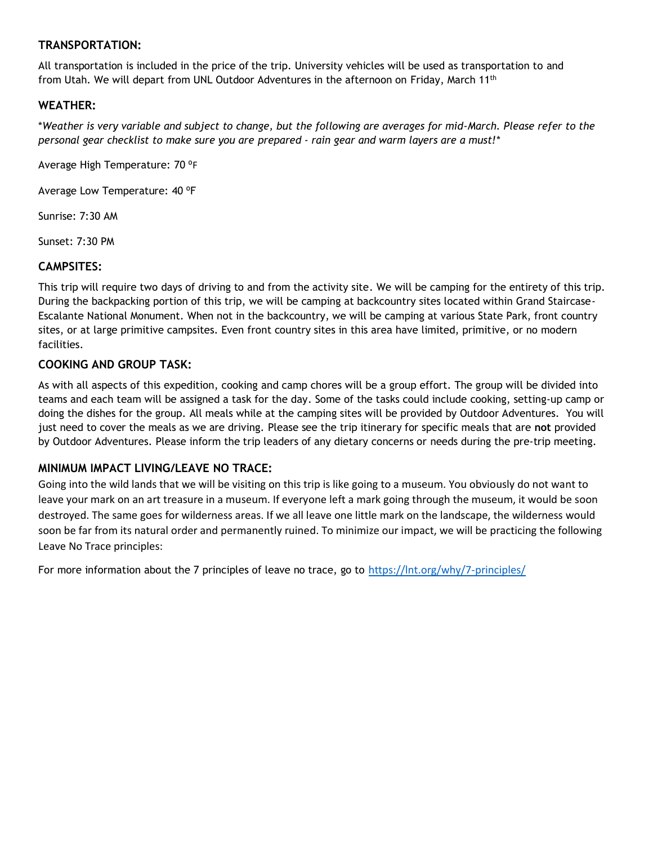# **TRANSPORTATION:**

All transportation is included in the price of the trip. University vehicles will be used as transportation to and from Utah. We will depart from UNL Outdoor Adventures in the afternoon on Friday, March 11<sup>th</sup>

# **WEATHER:**

\**Weather is very variable and subject to change, but the following are averages for mid-March. Please refer to the personal gear checklist to make sure you are prepared - rain gear and warm layers are a must!\**

Average High Temperature: 70 °F

Average Low Temperature: 40 °F

Sunrise: 7:30 AM

Sunset: 7:30 PM

## **CAMPSITES:**

This trip will require two days of driving to and from the activity site. We will be camping for the entirety of this trip. During the backpacking portion of this trip, we will be camping at backcountry sites located within Grand Staircase-Escalante National Monument. When not in the backcountry, we will be camping at various State Park, front country sites, or at large primitive campsites. Even front country sites in this area have limited, primitive, or no modern facilities.

## **COOKING AND GROUP TASK:**

As with all aspects of this expedition, cooking and camp chores will be a group effort. The group will be divided into teams and each team will be assigned a task for the day. Some of the tasks could include cooking, setting-up camp or doing the dishes for the group. All meals while at the camping sites will be provided by Outdoor Adventures. You will just need to cover the meals as we are driving. Please see the trip itinerary for specific meals that are **not** provided by Outdoor Adventures. Please inform the trip leaders of any dietary concerns or needs during the pre-trip meeting.

#### **MINIMUM IMPACT LIVING/LEAVE NO TRACE:**

Going into the wild lands that we will be visiting on this trip is like going to a museum. You obviously do not want to leave your mark on an art treasure in a museum. If everyone left a mark going through the museum, it would be soon destroyed. The same goes for wilderness areas. If we all leave one little mark on the landscape, the wilderness would soon be far from its natural order and permanently ruined. To minimize our impact, we will be practicing the following Leave No Trace principles:

For more information about the 7 principles of leave no trace, go to <https://lnt.org/why/7-principles/>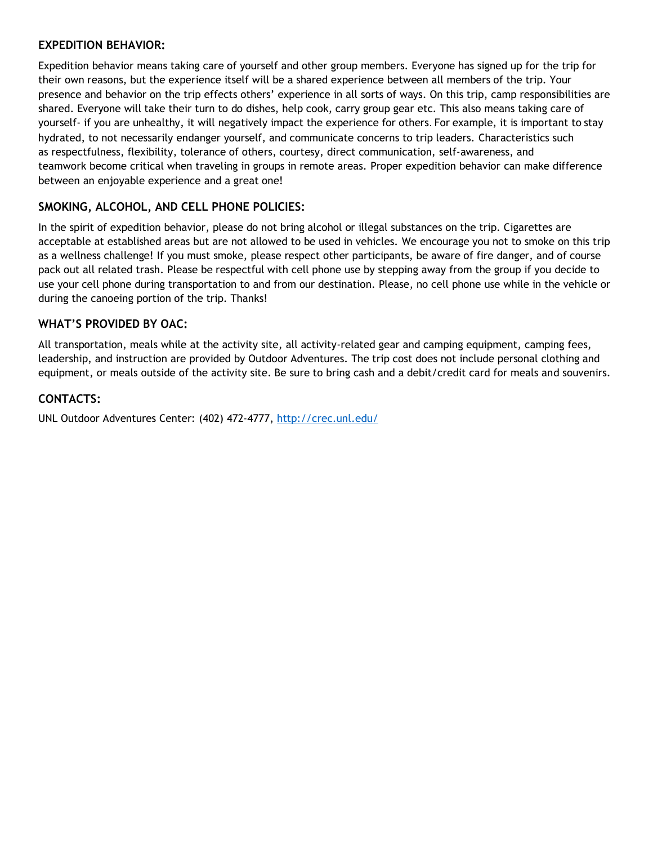## **EXPEDITION BEHAVIOR:**

Expedition behavior means taking care of yourself and other group members. Everyone has signed up for the trip for their own reasons, but the experience itself will be a shared experience between all members of the trip. Your presence and behavior on the trip effects others' experience in all sorts of ways. On this trip, camp responsibilities are shared. Everyone will take their turn to do dishes, help cook, carry group gear etc. This also means taking care of yourself- if you are unhealthy, it will negatively impact the experience for others. For example, it is important to stay hydrated, to not necessarily endanger yourself, and communicate concerns to trip leaders. Characteristics such as respectfulness, flexibility, tolerance of others, courtesy, direct communication, self-awareness, and teamwork become critical when traveling in groups in remote areas. Proper expedition behavior can make difference between an enjoyable experience and a great one!

# **SMOKING, ALCOHOL, AND CELL PHONE POLICIES:**

In the spirit of expedition behavior, please do not bring alcohol or illegal substances on the trip. Cigarettes are acceptable at established areas but are not allowed to be used in vehicles. We encourage you not to smoke on this trip as a wellness challenge! If you must smoke, please respect other participants, be aware of fire danger, and of course pack out all related trash. Please be respectful with cell phone use by stepping away from the group if you decide to use your cell phone during transportation to and from our destination. Please, no cell phone use while in the vehicle or during the canoeing portion of the trip. Thanks!

# **WHAT'S PROVIDED BY OAC:**

All transportation, meals while at the activity site, all activity-related gear and camping equipment, camping fees, leadership, and instruction are provided by Outdoor Adventures. The trip cost does not include personal clothing and equipment, or meals outside of the activity site. Be sure to bring cash and a debit/credit card for meals and souvenirs.

# **CONTACTS:**

UNL Outdoor Adventures Center: (402) 472-4777,<http://crec.unl.edu/>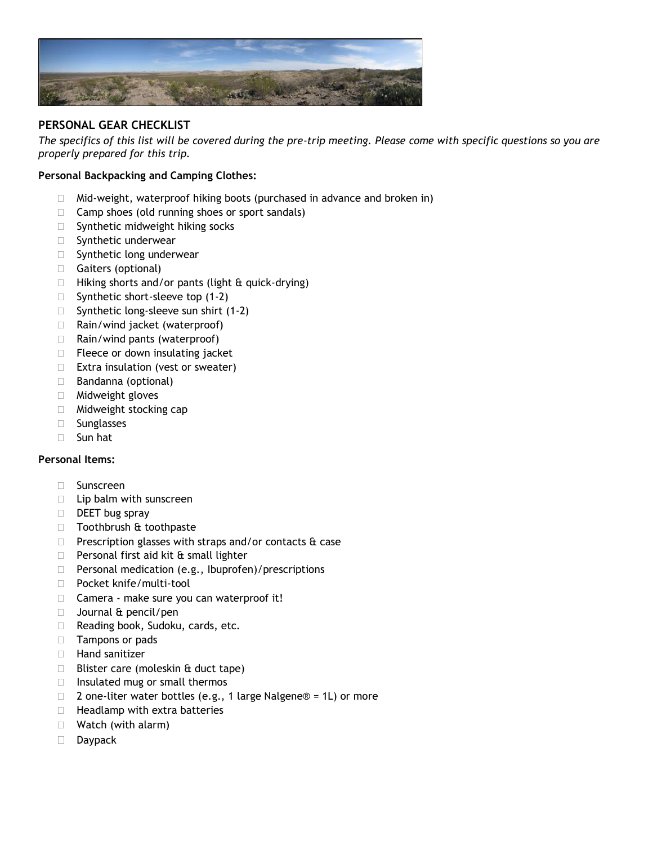

# **PERSONAL GEAR CHECKLIST**

*The specifics of this list will be covered during the pre-trip meeting. Please come with specific questions so you are properly prepared for this trip.*

### **Personal Backpacking and Camping Clothes:**

- $\Box$  Mid-weight, waterproof hiking boots (purchased in advance and broken in)
- $\Box$  Camp shoes (old running shoes or sport sandals)
- $\square$  Synthetic midweight hiking socks
- **Synthetic underwear**
- $\square$  Synthetic long underwear
- Gaiters (optional)
- $\Box$  Hiking shorts and/or pants (light & quick-drying)
- $\Box$  Synthetic short-sleeve top (1-2)
- $\Box$  Synthetic long-sleeve sun shirt (1-2)
- $\Box$  Rain/wind jacket (waterproof)
- $\Box$  Rain/wind pants (waterproof)
- $\Box$  Fleece or down insulating jacket
- $\Box$  Extra insulation (vest or sweater)
- □ Bandanna (optional)
- Midweight gloves
- □ Midweight stocking cap
- □ Sunglasses
- Sun hat

#### **Personal Items:**

- □ Sunscreen
- $\Box$  Lip balm with sunscreen
- $\Box$  DEET bug spray
- □ Toothbrush & toothpaste
- $\Box$  Prescription glasses with straps and/or contacts  $\hat{\alpha}$  case
- $\Box$  Personal first aid kit  $\hat{a}$  small lighter
- $\Box$  Personal medication (e.g., Ibuprofen)/prescriptions
- D Pocket knife/multi-tool
- □ Camera make sure you can waterproof it!
- $\Box$  Journal & pencil/pen
- □ Reading book, Sudoku, cards, etc.
- □ Tampons or pads
- $\Box$  Hand sanitizer
- $\Box$  Blister care (moleskin & duct tape)
- $\Box$  Insulated mug or small thermos
- □ 2 one-liter water bottles (e.g., 1 large Nalgene® = 1L) or more
- $\Box$  Headlamp with extra batteries
- □ Watch (with alarm)
- Daypack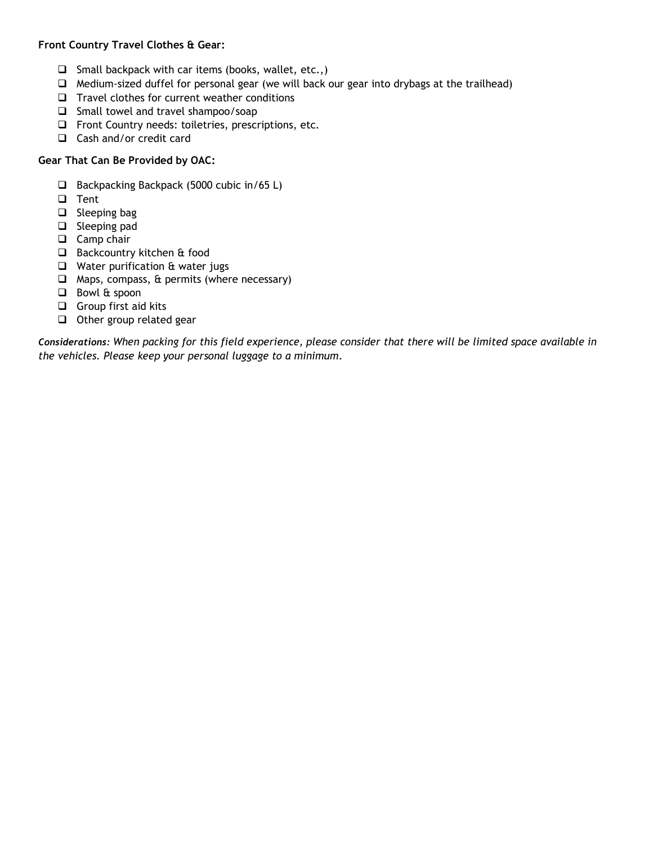## **Front Country Travel Clothes & Gear:**

- $\Box$  Small backpack with car items (books, wallet, etc.,)
- ❑ Medium-sized duffel for personal gear (we will back our gear into drybags at the trailhead)
- ❑ Travel clothes for current weather conditions
- ❑ Small towel and travel shampoo/soap
- ❑ Front Country needs: toiletries, prescriptions, etc.
- ❑ Cash and/or credit card

# **Gear That Can Be Provided by OAC:**

- ❑ Backpacking Backpack (5000 cubic in/65 L)
- ❑ Tent
- ❑ Sleeping bag
- ❑ Sleeping pad
- ❑ Camp chair
- ❑ Backcountry kitchen & food
- ❑ Water purification & water jugs
- ❑ Maps, compass, & permits (where necessary)
- ❑ Bowl & spoon
- ❑ Group first aid kits
- ❑ Other group related gear

*Considerations: When packing for this field experience, please consider that there will be limited space available in the vehicles. Please keep your personal luggage to a minimum.*